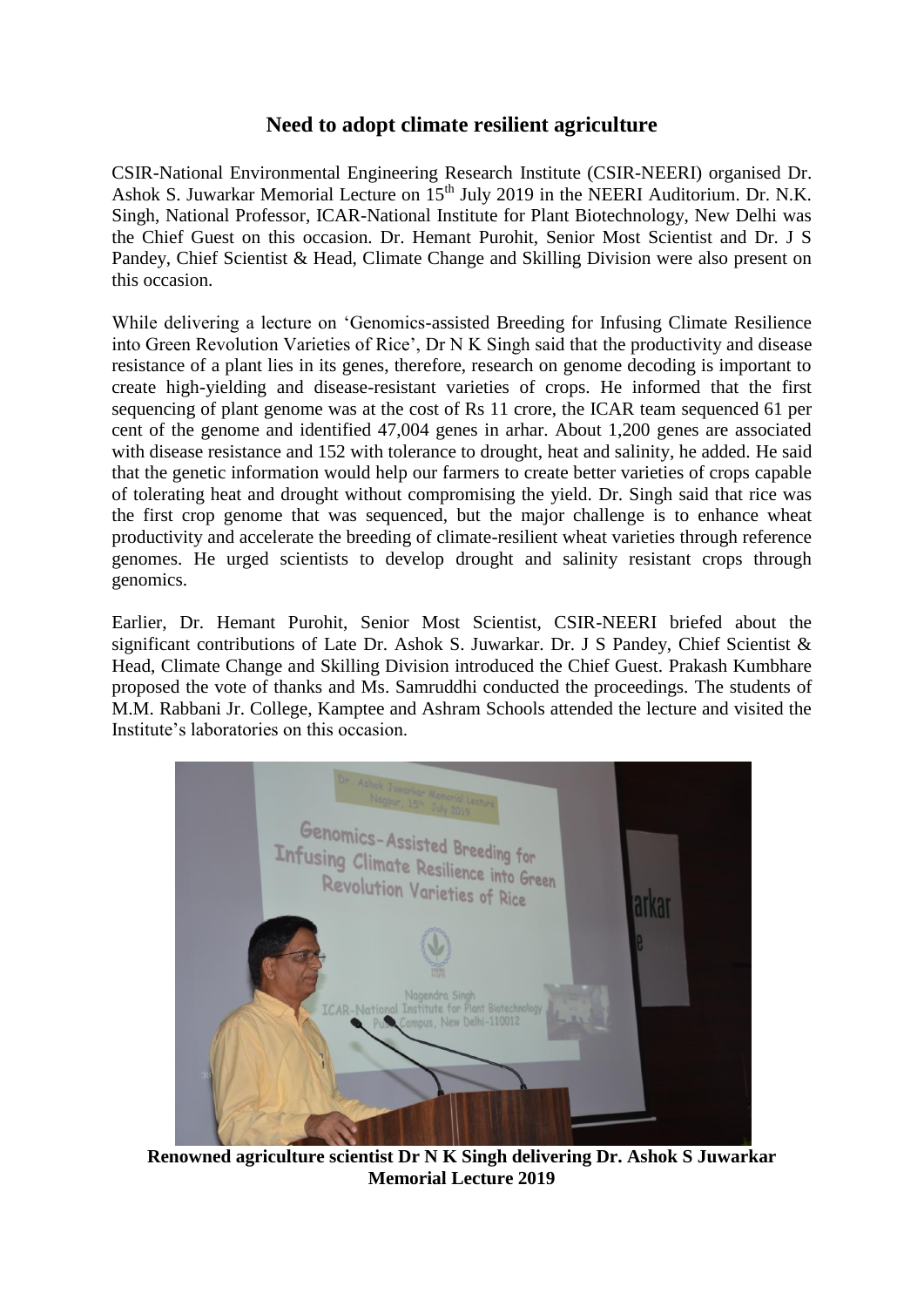## **Need to adopt climate resilient agriculture**

CSIR-National Environmental Engineering Research Institute (CSIR-NEERI) organised Dr. Ashok S. Juwarkar Memorial Lecture on 15<sup>th</sup> July 2019 in the NEERI Auditorium. Dr. N.K. Singh, National Professor, ICAR-National Institute for Plant Biotechnology, New Delhi was the Chief Guest on this occasion. Dr. Hemant Purohit, Senior Most Scientist and Dr. J S Pandey, Chief Scientist & Head, Climate Change and Skilling Division were also present on this occasion.

While delivering a lecture on 'Genomics-assisted Breeding for Infusing Climate Resilience into Green Revolution Varieties of Rice', Dr N K Singh said that the productivity and disease resistance of a plant lies in its genes, therefore, research on genome decoding is important to create high-yielding and disease-resistant varieties of crops. He informed that the first sequencing of plant genome was at the cost of Rs 11 crore, the ICAR team sequenced 61 per cent of the genome and identified 47,004 genes in arhar. About 1,200 genes are associated with disease resistance and 152 with tolerance to drought, heat and salinity, he added. He said that the genetic information would help our farmers to create better varieties of crops capable of tolerating heat and drought without compromising the yield. Dr. Singh said that rice was the first crop genome that was sequenced, but the major challenge is to enhance wheat productivity and accelerate the breeding of climate-resilient wheat varieties through reference genomes. He urged scientists to develop drought and salinity resistant crops through genomics.

Earlier, Dr. Hemant Purohit, Senior Most Scientist, CSIR-NEERI briefed about the significant contributions of Late Dr. Ashok S. Juwarkar. Dr. J S Pandey, Chief Scientist & Head, Climate Change and Skilling Division introduced the Chief Guest. Prakash Kumbhare proposed the vote of thanks and Ms. Samruddhi conducted the proceedings. The students of M.M. Rabbani Jr. College, Kamptee and Ashram Schools attended the lecture and visited the Institute's laboratories on this occasion.



**Renowned agriculture scientist Dr N K Singh delivering Dr. Ashok S Juwarkar Memorial Lecture 2019**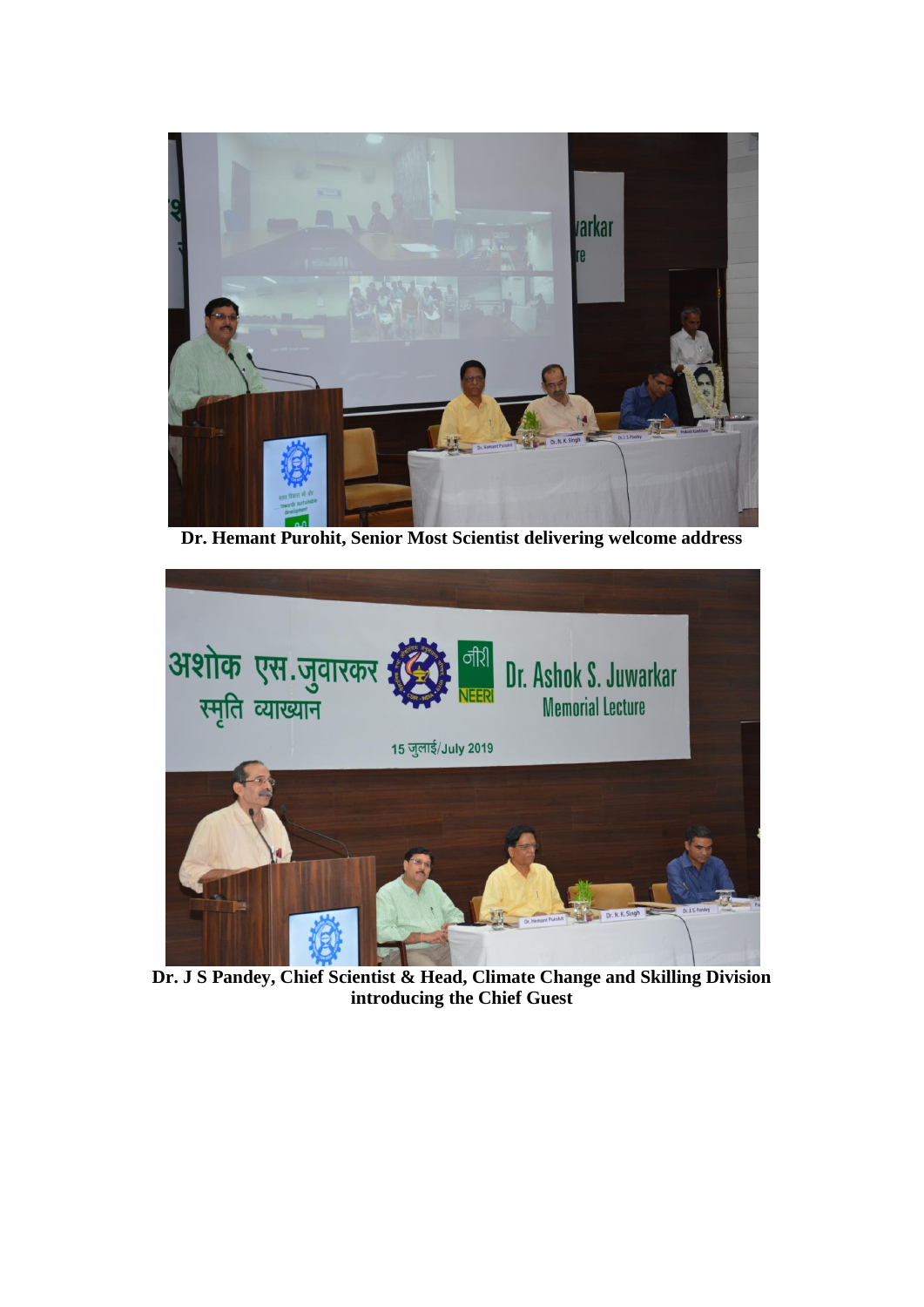

**Dr. Hemant Purohit, Senior Most Scientist delivering welcome address**



**Dr. J S Pandey, Chief Scientist & Head, Climate Change and Skilling Division introducing the Chief Guest**